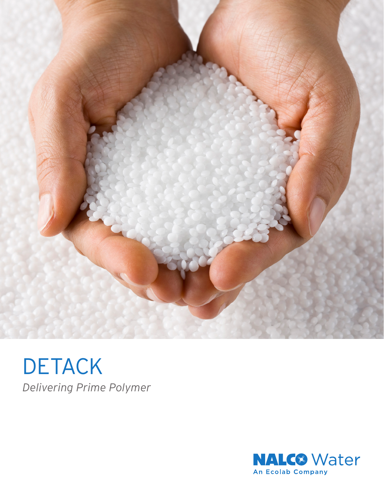

**DETACK** *Delivering Prime Polymer*

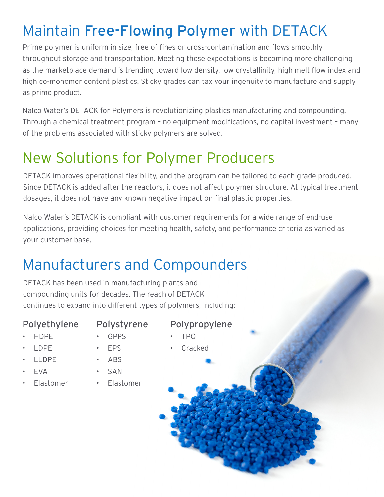# Maintain Free-Flowing Polymer with DETACK

Prime polymer is uniform in size, free of fines or cross-contamination and flows smoothly throughout storage and transportation. Meeting these expectations is becoming more challenging as the marketplace demand is trending toward low density, low crystallinity, high melt flow index and high co-monomer content plastics. Sticky grades can tax your ingenuity to manufacture and supply as prime product.

Nalco Water's DETACK for Polymers is revolutionizing plastics manufacturing and compounding. Through a chemical treatment program – no equipment modifications, no capital investment – many of the problems associated with sticky polymers are solved.

### New Solutions for Polymer Producers

DETACK improves operational flexibility, and the program can be tailored to each grade produced. Since DETACK is added after the reactors, it does not affect polymer structure. At typical treatment dosages, it does not have any known negative impact on final plastic properties.

Nalco Water's DETACK is compliant with customer requirements for a wide range of end-use applications, providing choices for meeting health, safety, and performance criteria as varied as your customer base.

## Manufacturers and Compounders

DETACK has been used in manufacturing plants and compounding units for decades. The reach of DETACK continues to expand into different types of polymers, including:

#### Polyethylene

- Polystyrene
- HDPE
- GPPS
- Polypropylene
- LDPE
- EPS
- TPO
- Cracked

- LLDPE
- EVA
- Elastomer
- SAN

• ABS

• Elastomer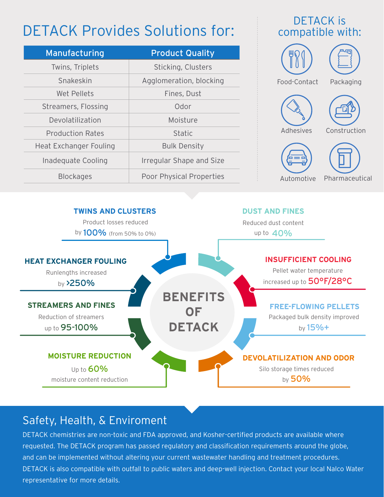## DETACK Provides Solutions for:

| Manufacturing                 | <b>Product Quality</b>   |
|-------------------------------|--------------------------|
| Twins, Triplets               | Sticking, Clusters       |
| Snakeskin                     | Agglomeration, blocking  |
| Wet Pellets                   | Fines, Dust              |
| Streamers, Flossing           | Odor                     |
| Devolatilization              | Moisture                 |
| <b>Production Rates</b>       | <b>Static</b>            |
| <b>Heat Exchanger Fouling</b> | <b>Bulk Density</b>      |
| Inadequate Cooling            | Irregular Shape and Size |
| <b>Blockages</b>              | Poor Physical Properties |

#### DETACK is compatible with:



Automotive Pharmaceutical



### Safety, Health, & Enviroment

DETACK chemistries are non-toxic and FDA approved, and Kosher-certified products are available where requested. The DETACK program has passed regulatory and classification requirements around the globe, and can be implemented without altering your current wastewater handling and treatment procedures. DETACK is also compatible with outfall to public waters and deep-well injection. Contact your local Nalco Water representative for more details.